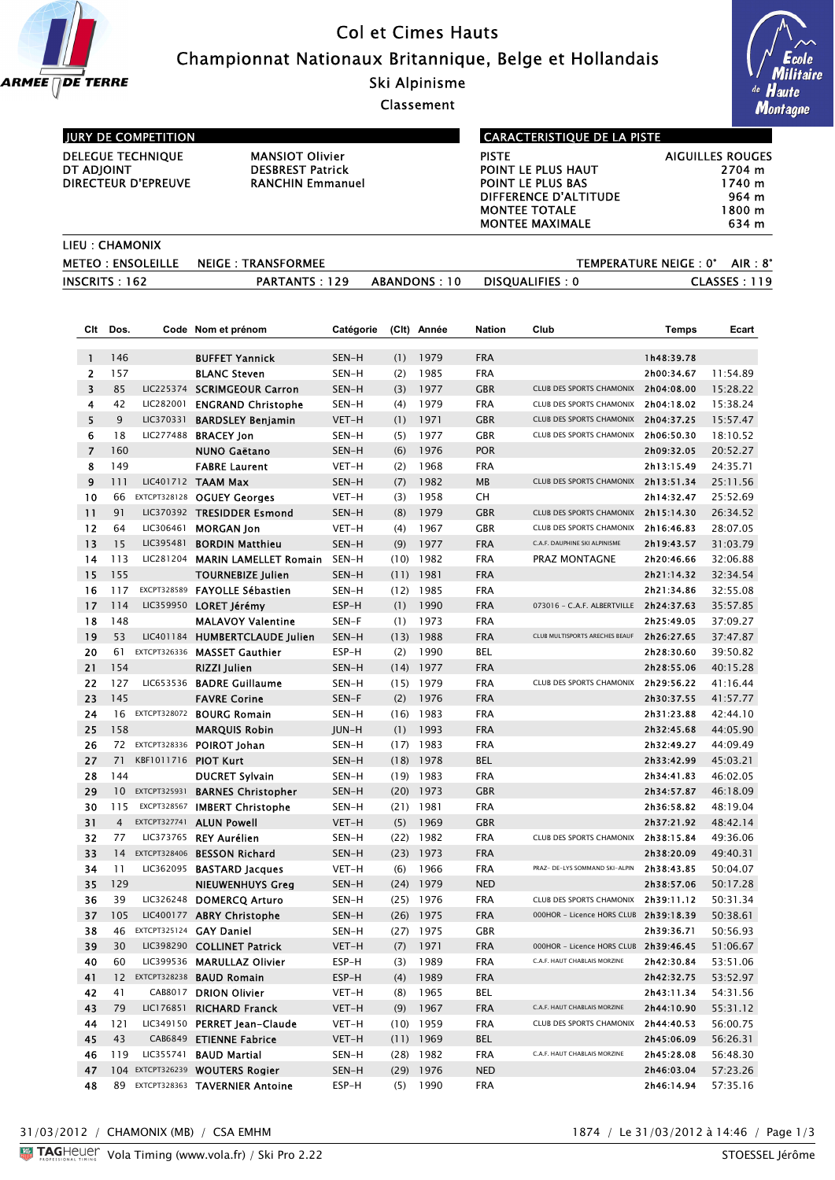

# Col et Cimes Hauts Championnat Nationaux Britannique, Belge et Hollandais

Ski Alpinisme

Classement



## JURY DE COMPETITION

DELEGUE TECHNIQUE MANSIOT Olivier<br>DT ADJOINT DESBREST Patrick DIRECTEUR D'EPREUVE

# DESBREST Patrick<br>RANCHIN Emmanuel

## CARACTERISTIQUE DE LA PISTE

| PISTE                  | <b>AIGUILLES ROUGES</b> |
|------------------------|-------------------------|
| POINT LE PLUS HAUT     | 2704 m                  |
| POINT LE PLUS BAS      | 1740 m                  |
| DIFFERENCE D'ALTITUDE  | 964 m                   |
| <b>MONTEE TOTALE</b>   | 1800 m                  |
| <b>MONTEE MAXIMALE</b> | 634 m                   |

| LIEU : CHAMONIX |                                      |              |                         |                                  |
|-----------------|--------------------------------------|--------------|-------------------------|----------------------------------|
|                 | METEO: ENSOLEILLE NEIGE: TRANSFORMEE |              |                         | TEMPERATURE NEIGE : 0°<br>AIR 8° |
| INGCRITS : 162  | <b>PARTANTS: 129</b>                 | ABANDONS: 10 | <b>DISQUALIFIES : 0</b> | CLASSES 119                      |

| Clt            | Dos.            |                 | Code Nom et prénom                       | Catégorie      | (C <sub>l</sub> ) | Année        | <b>Nation</b>            | Club                                                 | <b>Temps</b>             | Ecart                |
|----------------|-----------------|-----------------|------------------------------------------|----------------|-------------------|--------------|--------------------------|------------------------------------------------------|--------------------------|----------------------|
|                |                 |                 |                                          |                |                   |              |                          |                                                      |                          |                      |
| 1              | 146             |                 | <b>BUFFET Yannick</b>                    | SEN-H          | (1)               | 1979         | <b>FRA</b>               |                                                      | Ih48:39.78               |                      |
| 2              | 157             |                 | <b>BLANC Steven</b>                      | SEN-H          | (2)               | 1985         | <b>FRA</b>               |                                                      | 2h00:34.67               | 11:54.89             |
| 3              | 85              | LIC282001       | LIC225374 SCRIMGEOUR Carron              | SEN-H          | (3)               | 1977         | <b>GBR</b>               | CLUB DES SPORTS CHAMONIX                             | 2h04:08.00               | 15:28.22             |
| 4<br>5         | 42<br>9         |                 | <b>ENGRAND Christophe</b>                | SEN-H          | (4)               | 1979         | <b>FRA</b><br><b>GBR</b> | CLUB DES SPORTS CHAMONIX<br>CLUB DES SPORTS CHAMONIX | 2h04:18.02               | 15:38.24             |
| 6              | 18              | LIC277488       | LIC370331 BARDSLEY Benjamin              | VET-H          | (1)<br>(5)        | 1971<br>1977 | <b>GBR</b>               | CLUB DES SPORTS CHAMONIX                             | 2h04:37.25<br>2h06:50.30 | 15:57.47<br>18:10.52 |
| $\overline{7}$ | 160             |                 | <b>BRACEY Jon</b><br><b>NUNO Gaëtano</b> | SEN-H<br>SEN-H | (6)               | 1976         | <b>POR</b>               |                                                      | 2h09:32.05               | 20:52.27             |
| 8              | 149             |                 | <b>FABRE Laurent</b>                     | VET-H          | (2)               | 1968         | <b>FRA</b>               |                                                      | 2h13:15.49               | 24:35.71             |
| 9              | 111             |                 | LIC401712 TAAM Max                       | SEN-H          | (7)               | 1982         | MB                       | <b>CLUB DES SPORTS CHAMONIX</b>                      | 2h13:51.34               | 25:11.56             |
| 10             | 66              |                 | EXTCPT328128 OGUEY Georges               | VET-H          | (3)               | 1958         | CH                       |                                                      | 2h14:32.47               | 25:52.69             |
| 11             | 91              |                 | LIC370392 TRESIDDER Esmond               | SEN-H          | (8)               | 1979         | <b>GBR</b>               | CLUB DES SPORTS CHAMONIX                             | 2h15:14.30               | 26:34.52             |
| 12             | 64              | LIC306461       | <b>MORGAN Jon</b>                        | VET-H          | (4)               | 1967         | <b>GBR</b>               | CLUB DES SPORTS CHAMONIX                             | 2h16:46.83               | 28:07.05             |
| 13             | 15              | LIC395481       | <b>BORDIN Matthieu</b>                   | SEN-H          | (9)               | 1977         | <b>FRA</b>               | C.A.F. DAUPHINE SKI ALPINISME                        | 2h19:43.57               | 31:03.79             |
| 14             | 113             | LIC281204       | <b>MARIN LAMELLET Romain</b>             | SEN-H          | (10)              | 1982         | <b>FRA</b>               | PRAZ MONTAGNE                                        | 2h20:46.66               | 32:06.88             |
| 15             | 155             |                 | <b>TOURNEBIZE Julien</b>                 | SEN-H          | (11)              | 1981         | <b>FRA</b>               |                                                      | 2h21:14.32               | 32:34.54             |
| 16             | 117             | EXCPT328589     | <b>FAYOLLE Sébastien</b>                 | SEN-H          | (12)              | 1985         | <b>FRA</b>               |                                                      | 2h21:34.86               | 32:55.08             |
| 17             | 114             | LIC359950       | LORET Jérémy                             | ESP-H          | (1)               | 1990         | <b>FRA</b>               | 073016 - C.A.F. ALBERTVILLE                          | 2h24:37.63               | 35:57.85             |
| 18             | 148             |                 | <b>MALAVOY Valentine</b>                 | SEN-F          | (1)               | 1973         | <b>FRA</b>               |                                                      | 2h25:49.05               | 37:09.27             |
| 19             | 53              |                 | LIC401184 HUMBERTCLAUDE Julien           | SEN-H          | (13)              | 1988         | <b>FRA</b>               | CLUB MULTISPORTS ARECHES BEAUF                       | 2h26:27.65               | 37:47.87             |
| 20             | 61              | EXTCPT326336    | <b>MASSET Gauthier</b>                   | ESP-H          | (2)               | 1990         | BEL                      |                                                      | 2h28:30.60               | 39:50.82             |
| 21             | 154             |                 | RIZZI Julien                             | SEN-H          | (14)              | 1977         | <b>FRA</b>               |                                                      | 2h28:55.06               | 40:15.28             |
| 22             | 127             |                 | LIC653536 BADRE Guillaume                | SEN-H          | (15)              | 1979         | <b>FRA</b>               | CLUB DES SPORTS CHAMONIX 2h29:56.22                  |                          | 41:16.44             |
| 23             | 145             |                 | <b>FAVRE Corine</b>                      | SEN-F          | (2)               | 1976         | <b>FRA</b>               |                                                      | 2h30:37.55               | 41:57.77             |
| 24             | 16              |                 | EXTCPT328072 BOURG Romain                | SEN-H          | (16)              | 1983         | <b>FRA</b>               |                                                      | 2h31:23.88               | 42:44.10             |
| 25             | 158             |                 | <b>MARQUIS Robin</b>                     | JUN-H          | (1)               | 1993         | <b>FRA</b>               |                                                      | 2h32:45.68               | 44:05.90             |
| 26             | 72              | EXTCPT328336    | POIROT Johan                             | SEN-H          | (17)              | 1983         | <b>FRA</b>               |                                                      | 2h32:49.27               | 44:09.49             |
| 27             | 71              | KBF1011716      | <b>PIOT Kurt</b>                         | SEN-H          | (18)              | 1978         | <b>BEL</b>               |                                                      | 2h33:42.99               | 45:03.21             |
| 28             | 144             |                 | <b>DUCRET Sylvain</b>                    | SEN-H          | (19)              | 1983         | <b>FRA</b>               |                                                      | 2h34:41.83               | 46:02.05             |
| 29             | 10 <sup>°</sup> |                 | EXTCPT325931 BARNES Christopher          | SEN-H          | (20)              | 1973         | <b>GBR</b>               |                                                      | 2h34:57.87               | 46:18.09             |
| 30             | 115             | EXCPT328567     | <b>IMBERT Christophe</b>                 | SEN-H          | (21)              | 1981         | <b>FRA</b>               |                                                      | 2h36:58.82               | 48:19.04             |
| 31             | $\overline{4}$  | EXTCPT327741    | <b>ALUN Powell</b>                       | VET-H          | (5)               | 1969         | <b>GBR</b>               |                                                      | 2h37:21.92               | 48:42.14             |
| 32             | 77              |                 | LIC373765 REY Aurélien                   | SEN-H          | (22)              | 1982         | <b>FRA</b>               | <b>CLUB DES SPORTS CHAMONIX</b>                      | 2h38:15.84               | 49:36.06             |
| 33             | 14              | EXTCPT328406    | <b>BESSON Richard</b>                    | SEN-H          | (23)              | 1973         | <b>FRA</b>               |                                                      | 2h38:20.09               | 49:40.31             |
| 34             | 11              |                 | LIC362095 BASTARD Jacques                | VET-H          | (6)               | 1966         | <b>FRA</b>               | PRAZ- DE-LYS SOMMAND SKI-ALPIN                       | 2h38:43.85               | 50:04.07             |
| 35             | 129             |                 | <b>NIEUWENHUYS Greg</b>                  | SEN-H          | (24)              | 1979         | <b>NED</b>               |                                                      | 2h38:57.06               | 50:17.28             |
| 36             | 39              |                 | LIC326248 DOMERCQ Arturo                 | SEN-H          |                   | $(25)$ 1976  | <b>FRA</b>               | CLUB DES SPORTS CHAMONIX 2h39:11.12                  |                          | 50:31.34             |
| 37             | 105             |                 | LIC400177 ABRY Christophe                | SEN-H          | (26)              | 1975         | <b>FRA</b>               | 000HOR - Licence HORS CLUB                           | 2h39:18.39               | 50:38.61             |
| 38             | 46              |                 | EXTCPT325124 <b>GAY Daniel</b>           | SEN-H          | (27)              | 1975         | <b>GBR</b>               |                                                      | 2h39:36.71               | 50:56.93             |
| 39             | 30              |                 | LIC398290 COLLINET Patrick               | VET-H          | (7)               | 1971         | <b>FRA</b>               | 000HOR - Licence HORS CLUB 2h39:46.45                |                          | 51:06.67             |
| 40             | 60              |                 | LIC399536 MARULLAZ Olivier               | ESP-H          | (3)               | 1989         | <b>FRA</b>               | C.A.F. HAUT CHABLAIS MORZINE                         | 2h42:30.84               | 53:51.06             |
| 41             |                 | 12 EXTCPT328238 | <b>BAUD Romain</b>                       | ESP-H          | (4)               | 1989         | <b>FRA</b>               |                                                      | 2h42:32.75               | 53:52.97             |
| 42             | 41              | CAB8017         | <b>DRION Olivier</b>                     | VET-H          | (8)               | 1965         | BEL                      |                                                      | 2h43:11.34               | 54:31.56             |
| 43             | 79              | LIC176851       | <b>RICHARD Franck</b>                    | VET-H          | (9)               | 1967         | <b>FRA</b>               | C.A.F. HAUT CHABLAIS MORZINE                         | 2h44:10.90               | 55:31.12             |
| 44             | 121             | LIC349150       | <b>PERRET Jean-Claude</b>                | VET-H          |                   | $(10)$ 1959  | <b>FRA</b>               | CLUB DES SPORTS CHAMONIX                             | 2h44:40.53               | 56:00.75             |
| 45             | 43              |                 | CAB6849 ETIENNE Fabrice                  | VET-H          |                   | $(11)$ 1969  | BEL                      |                                                      | 2h45:06.09               | 56:26.31             |
| 46             | 119             | LIC355741       | <b>BAUD Martial</b>                      | SEN-H          |                   | $(28)$ 1982  | <b>FRA</b>               | C.A.F. HAUT CHABLAIS MORZINE                         | 2h45:28.08               | 56:48.30             |
| 47             |                 |                 | 104 EXTCPT326239 WOUTERS Rogier          | SEN-H          |                   | $(29)$ 1976  | <b>NED</b>               |                                                      | 2h46:03.04               | 57:23.26             |
| 48             |                 |                 | 89 EXTCPT328363 TAVERNIER Antoine        | ESP-H          | (5)               | 1990         | <b>FRA</b>               |                                                      | 2h46:14.94               | 57:35.16             |

31/03/2012 / CHAMONIX (MB) / CSA EMHM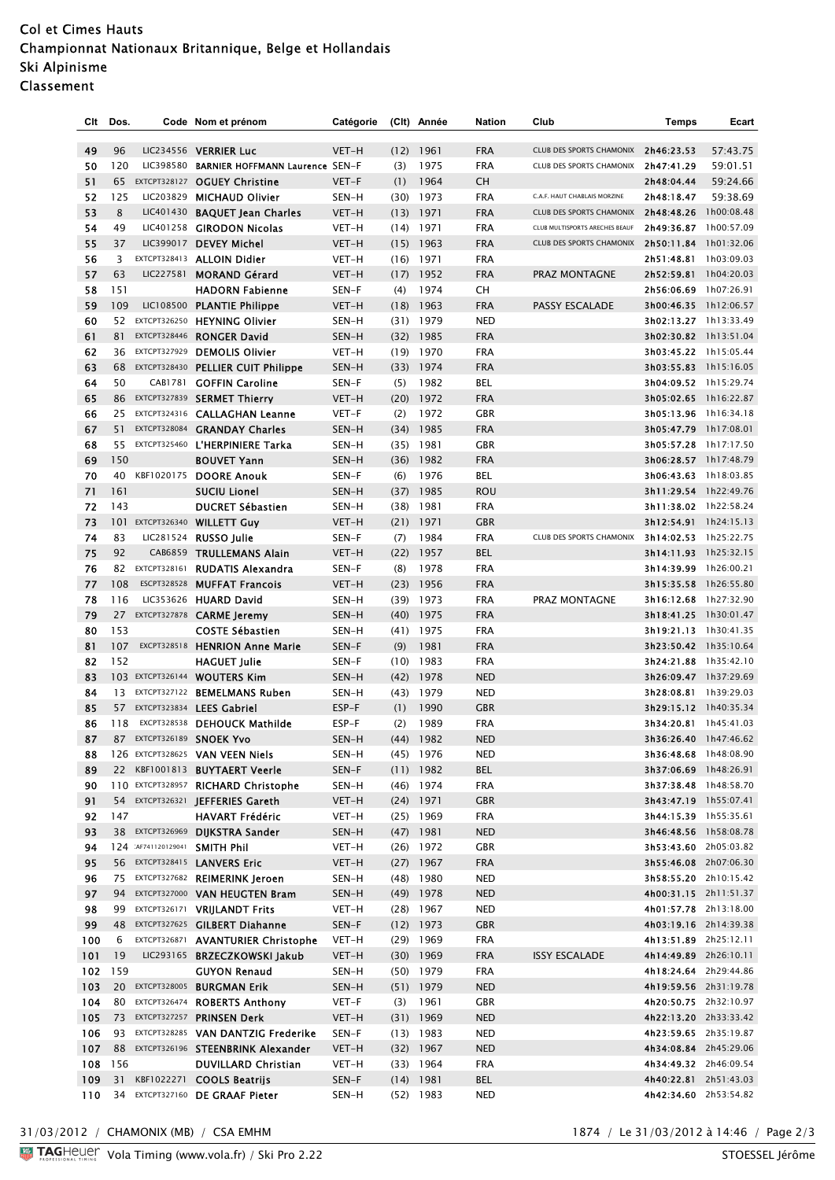# Col et Cimes Hauts Championnat Nationaux Britannique, Belge et Hollandais Ski Alpinisme Classement

| Clt | Dos.     |                               | Code Nom et prénom                     | Catégorie |      | (Clt) Année | Nation     | Club                                                              | Temps                                          | Ecart    |
|-----|----------|-------------------------------|----------------------------------------|-----------|------|-------------|------------|-------------------------------------------------------------------|------------------------------------------------|----------|
|     |          |                               |                                        |           |      |             |            |                                                                   |                                                |          |
| 49  | 96       |                               | LIC234556 VERRIER Luc                  | VET-H     |      | $(12)$ 1961 | <b>FRA</b> | CLUB DES SPORTS CHAMONIX 2h46:23.53                               |                                                | 57:43.75 |
| 50  | 120      | LIC398580                     | <b>BARNIER HOFFMANN Laurence SEN-F</b> |           | (3)  | 1975        | <b>FRA</b> | CLUB DES SPORTS CHAMONIX                                          | 2h47:41.29                                     | 59:01.51 |
| 51  | 65       |                               | EXTCPT328127 OGUEY Christine           | VET-F     | (1)  | 1964        | <b>CH</b>  | C.A.F. HAUT CHABLAIS MORZINE                                      | 2h48:04.44                                     | 59:24.66 |
| 52  | 125      |                               | LIC203829 MICHAUD Olivier              | SEN-H     |      | $(30)$ 1973 | <b>FRA</b> |                                                                   | 2h48:18.47                                     | 59:38.69 |
| 53  | 8        |                               | LIC401430 BAQUET Jean Charles          | VET-H     |      | $(13)$ 1971 | <b>FRA</b> | <b>CLUB DES SPORTS CHAMONIX</b><br>CLUB MULTISPORTS ARECHES BEAUF | 2h48:48.26 1h00:08.48                          |          |
| 54  | 49       |                               | LIC401258 GIRODON Nicolas              | VET-H     |      | $(14)$ 1971 | <b>FRA</b> |                                                                   | 2h49:36.87 1h00:57.09                          |          |
| 55  | 37       |                               | LIC399017 DEVEY Michel                 | VET-H     |      | $(15)$ 1963 | <b>FRA</b> | CLUB DES SPORTS CHAMONIX 2h50:11.84 1h01:32.06                    |                                                |          |
| 56  | 3        |                               | EXTCPT328413 ALLOIN Didier             | VET-H     |      | $(16)$ 1971 | <b>FRA</b> |                                                                   | 2h51:48.81 1h03:09.03                          |          |
| 57  | 63       |                               | LIC227581 MORAND Gérard                | VET-H     |      | $(17)$ 1952 | <b>FRA</b> | PRAZ MONTAGNE                                                     | 2h52:59.81 1h04:20.03                          |          |
| 58  | 151      |                               | <b>HADORN Fabienne</b>                 | SEN-F     | (4)  | 1974        | СH         |                                                                   | 2h56:06.69 1h07:26.91                          |          |
| 59  | 109      |                               | LIC108500 PLANTIE Philippe             | VET-H     |      | $(18)$ 1963 | <b>FRA</b> | <b>PASSY ESCALADE</b>                                             | 3h00:46.35 1h12:06.57                          |          |
| 60  |          |                               | 52 EXTCPT326250 HEYNING Olivier        | SEN-H     |      | $(31)$ 1979 | <b>NED</b> |                                                                   | 3h02:13.27 1h13:33.49                          |          |
| 61  | 81       |                               | EXTCPT328446 RONGER David              | SEN-H     |      | $(32)$ 1985 | <b>FRA</b> |                                                                   | 3h02:30.82 1h13:51.04                          |          |
| 62  |          |                               | 36 EXTCPT327929 DEMOLIS Olivier        | VET-H     |      | $(19)$ 1970 | <b>FRA</b> |                                                                   | 3h03:45.22 1h15:05.44                          |          |
| 63  |          |                               | 68 EXTCPT328430 PELLIER CUIT Philippe  | SEN-H     |      | $(33)$ 1974 | <b>FRA</b> |                                                                   | 3h03:55.83 1h15:16.05                          |          |
| 64  | 50       | CAB1781                       | <b>GOFFIN Caroline</b>                 | SEN-F     | (5)  | 1982        | <b>BEL</b> |                                                                   | 3h04:09.52 1h15:29.74                          |          |
| 65  |          |                               | 86 EXTCPT327839 SERMET Thierry         | VET-H     |      | $(20)$ 1972 | <b>FRA</b> |                                                                   | 3h05:02.65 1h16:22.87                          |          |
| 66  |          |                               | 25 EXTCPT324316 CALLAGHAN Leanne       | VET-F     | (2)  | 1972        | <b>GBR</b> |                                                                   | 3h05:13.96 1h16:34.18                          |          |
| 67  | 51       |                               | EXTCPT328084 GRANDAY Charles           | SEN-H     |      | $(34)$ 1985 | <b>FRA</b> |                                                                   | 3h05:47.79 1h17:08.01                          |          |
| 68  |          |                               | 55 EXTCPT325460 L'HERPINIERE Tarka     | SEN-H     |      | $(35)$ 1981 | <b>GBR</b> |                                                                   | 3h05:57.28 1h17:17.50                          |          |
| 69  | 150      |                               | <b>BOUVET Yann</b>                     | SEN-H     |      | $(36)$ 1982 | <b>FRA</b> |                                                                   | 3h06:28.57 1h17:48.79                          |          |
| 70  | 40       |                               | KBF1020175 DOORE Anouk                 | SEN-F     | (6)  | 1976        | <b>BEL</b> |                                                                   | 3h06:43.63 1h18:03.85                          |          |
| 71  | 161      |                               | <b>SUCIU Lionel</b>                    | SEN-H     | (37) | 1985        | <b>ROU</b> |                                                                   | 3h11:29.54 1h22:49.76                          |          |
| 72  | 143      |                               | <b>DUCRET Sébastien</b>                | SEN-H     |      | $(38)$ 1981 | <b>FRA</b> |                                                                   | 3h11:38.02 1h22:58.24                          |          |
| 73  |          |                               | 101 EXTCPT326340 WILLETT Guy           | VET-H     |      | $(21)$ 1971 | <b>GBR</b> |                                                                   | 3h12:54.91 1h24:15.13                          |          |
| 74  | 83<br>92 |                               | LIC281524 RUSSO Julie                  | SEN-F     | (7)  | 1984        | <b>FRA</b> | CLUB DES SPORTS CHAMONIX                                          | 3h14:02.53 1h25:22.75                          |          |
| 75  |          |                               | CAB6859 TRULLEMANS Alain               | VET-H     | (22) | 1957        | <b>BEL</b> |                                                                   | 3h14:11.93 1h25:32.15                          |          |
| 76  | 82       | EXTCPT328161                  | <b>RUDATIS Alexandra</b>               | SEN-F     | (8)  | 1978        | <b>FRA</b> |                                                                   | 3h14:39.99 1h26:00.21                          |          |
| 77  | 108      |                               | ESCPT328528 MUFFAT Francois            | VET-H     |      | $(23)$ 1956 | <b>FRA</b> |                                                                   | 3h15:35.58 1h26:55.80                          |          |
| 78  | 116      |                               | LIC353626 HUARD David                  | SEN-H     |      | $(39)$ 1973 | <b>FRA</b> | PRAZ MONTAGNE                                                     | 3h16:12.68 1h27:32.90                          |          |
| 79  |          |                               | 27 EXTCPT327878 CARME Jeremy           | SEN-H     |      | $(40)$ 1975 | <b>FRA</b> |                                                                   | 3h18:41.25 1h30:01.47                          |          |
| 80  | 153      |                               | <b>COSTE Sébastien</b>                 | SEN-H     |      | $(41)$ 1975 | <b>FRA</b> |                                                                   | 3h19:21.13 1h30:41.35                          |          |
| 81  | 107      |                               | EXCPT328518 HENRION Anne Marie         | SEN-F     | (9)  | 1981        | <b>FRA</b> |                                                                   | 3h23:50.42 1h35:10.64<br>3h24:21.88 1h35:42.10 |          |
| 82  | 152      |                               | <b>HAGUET Julie</b>                    | SEN-F     |      | $(10)$ 1983 | <b>FRA</b> |                                                                   |                                                |          |
| 83  |          |                               | 103 EXTCPT326144 WOUTERS Kim           | SEN-H     |      | $(42)$ 1978 | <b>NED</b> |                                                                   | 3h26:09.47 1h37:29.69                          |          |
| 84  |          |                               | 13 EXTCPT327122 BEMELMANS Ruben        | SEN-H     |      | $(43)$ 1979 | <b>NED</b> |                                                                   | 3h28:08.81 1h39:29.03                          |          |
| 85  |          |                               | 57 EXTCPT323834 LEES Gabriel           | ESP-F     | (1)  | 1990        | <b>GBR</b> |                                                                   | 3h29:15.12 1h40:35.34                          |          |
| 86  | 118      |                               | EXCPT328538 DEHOUCK Mathilde           | ESP-F     | (2)  | 1989        | <b>FRA</b> |                                                                   | 3h34:20.81 1h45:41.03                          |          |
| 87  | 87       |                               | EXTCPT326189 SNOEK Yvo                 | SEN-H     |      | $(44)$ 1982 | <b>NED</b> |                                                                   | 3h36:26.40 1h47:46.62                          |          |
| 88  |          |                               | 126 EXTCPT328625 VAN VEEN Niels        | SEN-H     |      | $(45)$ 1976 | NED        |                                                                   | 3h36:48.68 1h48:08.90                          |          |
| 89  |          |                               | 22 KBF1001813 BUYTAERT Veerle          | SEN-F     |      | $(11)$ 1982 | BEL        |                                                                   | 3h37:06.69 1h48:26.91                          |          |
| 90  |          |                               | 110 EXTCPT328957 RICHARD Christophe    | SEN-H     |      | (46) 1974   | FRA        |                                                                   | 3h37:38.48 1h48:58.70                          |          |
| 91  |          |                               | 54 EXTCPT326321 JEFFERIES Gareth       | VET-H     |      | $(24)$ 1971 | <b>GBR</b> |                                                                   | 3h43:47.19 1h55:07.41                          |          |
| 92  | 147      |                               | <b>HAVART Frédéric</b>                 | VET-H     |      | $(25)$ 1969 | FRA        |                                                                   | 3h44:15.39 1h55:35.61                          |          |
| 93  |          |                               | 38 EXTCPT326969 DIJKSTRA Sander        | SEN-H     |      | $(47)$ 1981 | <b>NED</b> |                                                                   | 3h46:48.56 1h58:08.78                          |          |
| 94  |          | 124 AF741120129041 SMITH Phil |                                        | VET-H     |      | $(26)$ 1972 | <b>GBR</b> |                                                                   | 3h53:43.60 2h05:03.82                          |          |
| 95  |          |                               | 56 EXTCPT328415 LANVERS Eric           | VET-H     |      | $(27)$ 1967 | <b>FRA</b> |                                                                   | 3h55:46.08 2h07:06.30                          |          |
| 96  |          |                               | 75 EXTCPT327682 REIMERINK Jeroen       | SEN-H     |      | $(48)$ 1980 | <b>NED</b> |                                                                   | 3h58:55.20 2h10:15.42                          |          |
| 97  |          |                               | 94 EXTCPT327000 VAN HEUGTEN Bram       | SEN-H     |      | $(49)$ 1978 | <b>NED</b> |                                                                   | 4h00:31.15 2h11:51.37                          |          |
| 98  |          |                               | 99 EXTCPT326171 VRIJLANDT Frits        | VET-H     |      | $(28)$ 1967 | NED        |                                                                   | 4h01:57.78 2h13:18.00                          |          |
| 99  |          |                               | 48 EXTCPT327625 GILBERT Diahanne       | SEN-F     |      | $(12)$ 1973 | <b>GBR</b> |                                                                   | 4h03:19.16 2h14:39.38                          |          |
| 100 | 6        |                               | EXTCPT326871 AVANTURIER Christophe     | VET-H     |      | $(29)$ 1969 | <b>FRA</b> |                                                                   | 4h13:51.89 2h25:12.11                          |          |
| 101 | 19       |                               | LIC293165 BRZECZKOWSKI Jakub           | VET-H     |      | $(30)$ 1969 | <b>FRA</b> | <b>ISSY ESCALADE</b>                                              | 4h14:49.89 2h26:10.11                          |          |
| 102 | 159      |                               | <b>GUYON Renaud</b>                    | SEN-H     |      | $(50)$ 1979 | <b>FRA</b> |                                                                   | 4h18:24.64 2h29:44.86                          |          |
| 103 |          |                               | 20 EXTCPT328005 BURGMAN Erik           | SEN-H     |      | $(51)$ 1979 | <b>NED</b> |                                                                   | 4h19:59.56 2h31:19.78                          |          |
| 104 |          |                               | 80 EXTCPT326474 ROBERTS Anthony        | VET-F     |      | $(3)$ 1961  | <b>GBR</b> |                                                                   | 4h20:50.75 2h32:10.97                          |          |
| 105 |          |                               | 73 EXTCPT327257 PRINSEN Derk           | VET-H     |      | $(31)$ 1969 | <b>NED</b> |                                                                   | 4h22:13.20 2h33:33.42                          |          |
| 106 |          |                               | 93 EXTCPT328285 VAN DANTZIG Frederike  | SEN-F     |      | $(13)$ 1983 | NED        |                                                                   | 4h23:59.65 2h35:19.87                          |          |
| 107 |          |                               | 88 EXTCPT326196 STEENBRINK Alexander   | VET-H     |      | $(32)$ 1967 | <b>NED</b> |                                                                   | 4h34:08.84 2h45:29.06                          |          |
| 108 | 156      |                               | <b>DUVILLARD Christian</b>             | VET-H     |      | $(33)$ 1964 | <b>FRA</b> |                                                                   | 4h34:49.32 2h46:09.54                          |          |
| 109 |          |                               | 31 KBF1022271 COOLS Beatrijs           | SEN-F     |      | $(14)$ 1981 | BEL        |                                                                   | 4h40:22.81 2h51:43.03                          |          |
| 110 |          |                               | 34 EXTCPT327160 DE GRAAF Pieter        | SEN-H     |      | $(52)$ 1983 | NED        |                                                                   | 4h42:34.60 2h53:54.82                          |          |